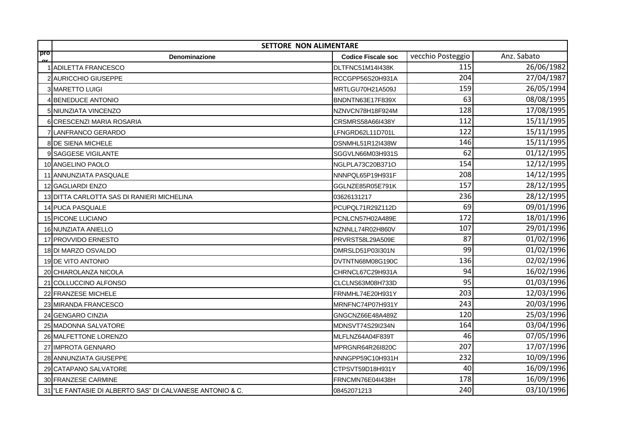|            | <b>SETTORE NON ALIMENTARE</b>                          |                           |                   |             |
|------------|--------------------------------------------------------|---------------------------|-------------------|-------------|
| pro<br>CU. | Denominazione                                          | <b>Codice Fiscale soc</b> | vecchio Posteggio | Anz. Sabato |
|            | <b>ADILETTA FRANCESCO</b>                              | DLTFNC51M14I438K          | 115               | 26/06/1982  |
|            | 2 AURICCHIO GIUSEPPE                                   | RCCGPP56S20H931A          | 204               | 27/04/1987  |
|            | 3 MARETTO LUIGI                                        | MRTLGU70H21A509J          | 159               | 26/05/1994  |
|            | 4 BENEDUCE ANTONIO                                     | BNDNTN63E17F839X          | 63                | 08/08/1995  |
|            | 5 NIUNZIATA VINCENZO                                   | NZNVCN78H18F924M          | 128               | 17/08/1995  |
|            | 6 CRESCENZI MARIA ROSARIA                              | CRSMRS58A66I438Y          | 112               | 15/11/1995  |
|            | 7 LANFRANCO GERARDO                                    | LFNGRD62L11D701L          | 122               | 15/11/1995  |
|            | 8 DE SIENA MICHELE                                     | DSNMHL51R12I438W          | 146               | 15/11/1995  |
|            | 9 SAGGESE VIGILANTE                                    | SGGVLN66M03H931S          | 62                | 01/12/1995  |
|            | 10 ANGELINO PAOLO                                      | NGLPLA73C20B371O          | 154               | 12/12/1995  |
|            | 11 ANNUNZIATA PASQUALE                                 | NNNPQL65P19H931F          | 208               | 14/12/1995  |
|            | 12 GAGLIARDI ENZO                                      | GGLNZE85R05E791K          | 157               | 28/12/1995  |
|            | 13 DITTA CARLOTTA SAS DI RANIERI MICHELINA             | 03626131217               | 236               | 28/12/1995  |
|            | 14 PUCA PASQUALE                                       | PCUPQL71R29Z112D          | 69                | 09/01/1996  |
|            | 15 PICONE LUCIANO                                      | PCNLCN57H02A489E          | 172               | 18/01/1996  |
|            | 16 NUNZIATA ANIELLO                                    | NZNNLL74R02H860V          | 107               | 29/01/1996  |
|            | 17 PROVVIDO ERNESTO                                    | PRVRST58L29A509E          | 87                | 01/02/1996  |
|            | 18 DI MARZO OSVALDO                                    | DMRSLD51P03l301N          | 99                | 01/02/1996  |
|            | 19 DE VITO ANTONIO                                     | DVTNTN68M08G190C          | 136               | 02/02/1996  |
|            | 20 CHIAROLANZA NICOLA                                  | CHRNCL67C29H931A          | 94                | 16/02/1996  |
|            | 21 COLLUCCINO ALFONSO                                  | CLCLNS63M08H733D          | 95                | 01/03/1996  |
|            | 22 FRANZESE MICHELE                                    | FRNMHL74E20H931Y          | 203               | 12/03/1996  |
|            | 23 MIRANDA FRANCESCO                                   | MRNFNC74P07H931Y          | 243               | 20/03/1996  |
|            | 24 GENGARO CINZIA                                      | GNGCNZ66E48A489Z          | 120               | 25/03/1996  |
|            | 25 MADONNA SALVATORE                                   | MDNSVT74S29I234N          | 164               | 03/04/1996  |
|            | 26 MALFETTONE LORENZO                                  | MLFLNZ64A04F839T          | 46                | 07/05/1996  |
|            | 27 IMPROTA GENNARO                                     | MPRGNR64R26l820C          | 207               | 17/07/1996  |
|            | 28 ANNUNZIATA GIUSEPPE                                 | NNNGPP59C10H931H          | 232               | 10/09/1996  |
|            | 29 CATAPANO SALVATORE                                  | CTPSVT59D18H931Y          | 40                | 16/09/1996  |
|            | 30 FRANZESE CARMINE                                    | FRNCMN76E04I438H          | 178               | 16/09/1996  |
| 31         | "LE FANTASIE DI ALBERTO SAS" DI CALVANESE ANTONIO & C. | 08452071213               | 240               | 03/10/1996  |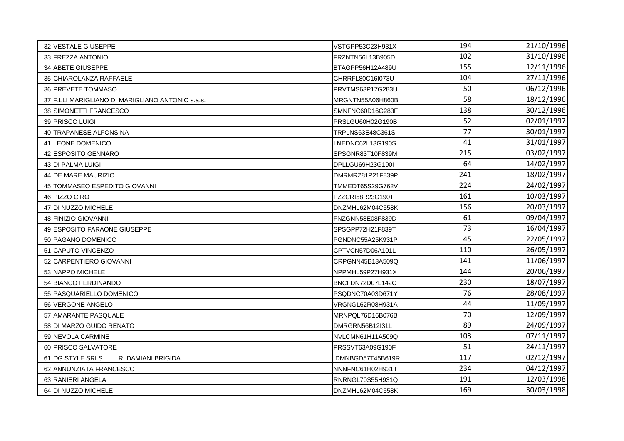| 32 VESTALE GIUSEPPE                              | VSTGPP53C23H931X | 194 | 21/10/1996 |
|--------------------------------------------------|------------------|-----|------------|
| 33 FREZZA ANTONIO                                | FRZNTN56L13B905D | 102 | 31/10/1996 |
| 34 ABETE GIUSEPPE                                | BTAGPP56H12A489U | 155 | 12/11/1996 |
| 35 CHIAROLANZA RAFFAELE                          | CHRRFL80C16l073U | 104 | 27/11/1996 |
| 36 PREVETE TOMMASO                               | PRVTMS63P17G283U | 50  | 06/12/1996 |
| 37 F.LLI MARIGLIANO DI MARIGLIANO ANTONIO s.a.s. | MRGNTN55A06H860B | 58  | 18/12/1996 |
| 38 SIMONETTI FRANCESCO                           | SMNFNC60D16G283F | 138 | 30/12/1996 |
| 39 PRISCO LUIGI                                  | PRSLGU60H02G190B | 52  | 02/01/1997 |
| 40 TRAPANESE ALFONSINA                           | TRPLNS63E48C361S | 77  | 30/01/1997 |
| 41 LEONE DOMENICO                                | LNEDNC62L13G190S | 41  | 31/01/1997 |
| 42 ESPOSITO GENNARO                              | SPSGNR83T10F839M | 215 | 03/02/1997 |
| 43 DI PALMA LUIGI                                | DPLLGU69H23G190I | 64  | 14/02/1997 |
| 44 DE MARE MAURIZIO                              | DMRMRZ81P21F839P | 241 | 18/02/1997 |
| 45 TOMMASEO ESPEDITO GIOVANNI                    | TMMEDT65S29G762V | 224 | 24/02/1997 |
| 46 PIZZO CIRO                                    | PZZCRI58R23G190T | 161 | 10/03/1997 |
| 47 DI NUZZO MICHELE                              | DNZMHL62M04C558K | 156 | 20/03/1997 |
| 48 FINIZIO GIOVANNI                              | FNZGNN58E08F839D | 61  | 09/04/1997 |
| 49 ESPOSITO FARAONE GIUSEPPE                     | SPSGPP72H21F839T | 73  | 16/04/1997 |
| 50 PAGANO DOMENICO                               | PGNDNC55A25K931P | 45  | 22/05/1997 |
| 51 CAPUTO VINCENZO                               | CPTVCN57D06A101L | 110 | 26/05/1997 |
| 52 CARPENTIERO GIOVANNI                          | CRPGNN45B13A509Q | 141 | 11/06/1997 |
| 53 NAPPO MICHELE                                 | NPPMHL59P27H931X | 144 | 20/06/1997 |
| 54 BIANCO FERDINANDO                             | BNCFDN72D07L142C | 230 | 18/07/1997 |
| 55 PASQUARIELLO DOMENICO                         | PSQDNC70A03D671Y | 76  | 28/08/1997 |
| 56 VERGONE ANGELO                                | VRGNGL62R08H931A | 44  | 11/09/1997 |
| 57 AMARANTE PASQUALE                             | MRNPQL76D16B076B | 70  | 12/09/1997 |
| 58 DI MARZO GUIDO RENATO                         | DMRGRN56B12l31L  | 89  | 24/09/1997 |
| 59 NEVOLA CARMINE                                | NVLCMN61H11A509Q | 103 | 07/11/1997 |
| 60 PRISCO SALVATORE                              | PRSSVT63A09G190F | 51  | 24/11/1997 |
| 61 DG STYLE SRLS<br>L.R. DAMIANI BRIGIDA         | DMNBGD57T45B619R | 117 | 02/12/1997 |
| 62 ANNUNZIATA FRANCESCO                          | NNNFNC61H02H931T | 234 | 04/12/1997 |
| 63 RANIERI ANGELA                                | RNRNGL70S55H931Q | 191 | 12/03/1998 |
| 64 DI NUZZO MICHELE                              | DNZMHL62M04C558K | 169 | 30/03/1998 |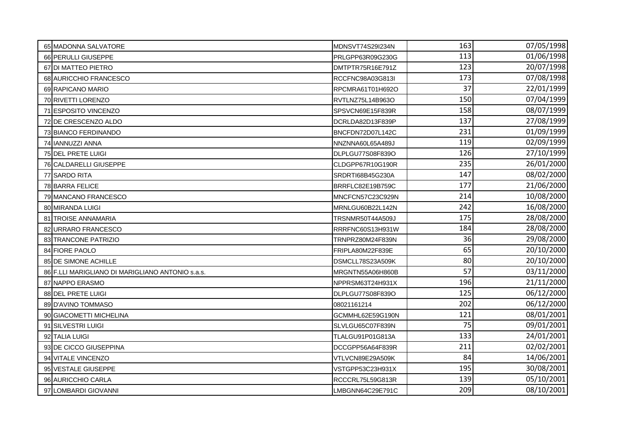| 65 MADONNA SALVATORE                             | MDNSVT74S29I234N | 163 | 07/05/1998 |
|--------------------------------------------------|------------------|-----|------------|
| 66 PERULLI GIUSEPPE                              | PRLGPP63R09G230G | 113 | 01/06/1998 |
| 67 DI MATTEO PIETRO                              | DMTPTR75R16E791Z | 123 | 20/07/1998 |
| 68 AURICCHIO FRANCESCO                           | RCCFNC98A03G813I | 173 | 07/08/1998 |
| 69 RAPICANO MARIO                                | RPCMRA61T01H692O | 37  | 22/01/1999 |
| 70 RIVETTI LORENZO                               | RVTLNZ75L14B963O | 150 | 07/04/1999 |
| 71 ESPOSITO VINCENZO                             | SPSVCN69E15F839R | 158 | 08/07/1999 |
| 72 DE CRESCENZO ALDO                             | DCRLDA82D13F839P | 137 | 27/08/1999 |
| 73 BIANCO FERDINANDO                             | BNCFDN72D07L142C | 231 | 01/09/1999 |
| 74 IANNUZZI ANNA                                 | NNZNNA60L65A489J | 119 | 02/09/1999 |
| 75 DEL PRETE LUIGI                               | DLPLGU77S08F839O | 126 | 27/10/1999 |
| 76 CALDARELLI GIUSEPPE                           | CLDGPP67R10G190R | 235 | 26/01/2000 |
| 77 SARDO RITA                                    | SRDRTI68B45G230A | 147 | 08/02/2000 |
| 78 BARRA FELICE                                  | BRRFLC82E19B759C | 177 | 21/06/2000 |
| 79 MANCANO FRANCESCO                             | MNCFCN57C23C929N | 214 | 10/08/2000 |
| 80 MIRANDA LUIGI                                 | MRNLGU60B22L142N | 242 | 16/08/2000 |
| 81 TROISE ANNAMARIA                              | TRSNMR50T44A509J | 175 | 28/08/2000 |
| 82 URRARO FRANCESCO                              | RRRFNC60S13H931W | 184 | 28/08/2000 |
| 83 TRANCONE PATRIZIO                             | TRNPRZ80M24F839N | 36  | 29/08/2000 |
| 84 FIORE PAOLO                                   | FRIPLA80M22F839E | 65  | 20/10/2000 |
| 85 DE SIMONE ACHILLE                             | DSMCLL78S23A509K | 80  | 20/10/2000 |
| 86 F.LLI MARIGLIANO DI MARIGLIANO ANTONIO s.a.s. | MRGNTN55A06H860B | 57  | 03/11/2000 |
| 87 NAPPO ERASMO                                  | NPPRSM63T24H931X | 196 | 21/11/2000 |
| 88 DEL PRETE LUIGI                               | DLPLGU77S08F839O | 125 | 06/12/2000 |
| 89 D'AVINO TOMMASO                               | 08021161214      | 202 | 06/12/2000 |
| 90 GIACOMETTI MICHELINA                          | GCMMHL62E59G190N | 121 | 08/01/2001 |
| 91 SILVESTRI LUIGI                               | SLVLGU65C07F839N | 75  | 09/01/2001 |
| 92 TALIA LUIGI                                   | TLALGU91P01G813A | 133 | 24/01/2001 |
| 93 DE CICCO GIUSEPPINA                           | DCCGPP56A64F839R | 211 | 02/02/2001 |
| 94 VITALE VINCENZO                               | VTLVCN89E29A509K | 84  | 14/06/2001 |
| 95 VESTALE GIUSEPPE                              | VSTGPP53C23H931X | 195 | 30/08/2001 |
| 96 AURICCHIO CARLA                               | RCCCRL75L59G813R | 139 | 05/10/2001 |
| 97 LOMBARDI GIOVANNI                             | LMBGNN64C29E791C | 209 | 08/10/2001 |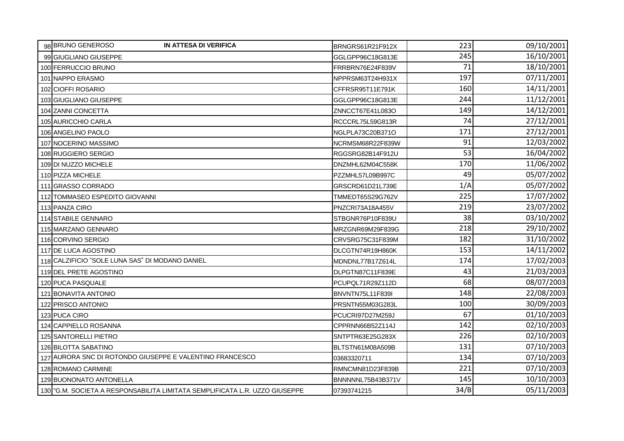| 98 BRUNO GENEROSO<br><b>IN ATTESA DI VERIFICA</b>                          | BRNGRS61R21F912X  | 223  | 09/10/2001 |
|----------------------------------------------------------------------------|-------------------|------|------------|
| 99 GIUGLIANO GIUSEPPE                                                      | GGLGPP96C18G813E  | 245  | 16/10/2001 |
| 100 FERRUCCIO BRUNO                                                        | FRRBRN76E24F839V  | 71   | 18/10/2001 |
| 101 NAPPO ERASMO                                                           | NPPRSM63T24H931X  | 197  | 07/11/2001 |
| 102 CIOFFI ROSARIO                                                         | CFFRSR95T11E791K  | 160  | 14/11/2001 |
| 103 GIUGLIANO GIUSEPPE                                                     | GGLGPP96C18G813E  | 244  | 11/12/2001 |
| 104 ZANNI CONCETTA                                                         | ZNNCCT67E41L083O  | 149  | 14/12/2001 |
| 105 AURICCHIO CARLA                                                        | RCCCRL75L59G813R  | 74   | 27/12/2001 |
| 106 ANGELINO PAOLO                                                         | NGLPLA73C20B371O  | 171  | 27/12/2001 |
| 107 NOCERINO MASSIMO                                                       | NCRMSM68R22F839W  | 91   | 12/03/2002 |
| 108 RUGGIERO SERGIO                                                        | RGGSRG82B14F912U  | 53   | 16/04/2002 |
| 109 DI NUZZO MICHELE                                                       | DNZMHL62M04C558K  | 170  | 11/06/2002 |
| 110 PIZZA MICHELE                                                          | PZZMHL57L09B997C  | 49   | 05/07/2002 |
| 111 GRASSO CORRADO                                                         | GRSCRD61D21L739E  | 1/A  | 05/07/2002 |
| 112 TOMMASEO ESPEDITO GIOVANNI                                             | TMMEDT65S29G762V  | 225  | 17/07/2002 |
| 113 PANZA CIRO                                                             | PNZCRI73A18A455V  | 219  | 23/07/2002 |
| 114 STABILE GENNARO                                                        | STBGNR76P10F839U  | 38   | 03/10/2002 |
| 115 MARZANO GENNARO                                                        | MRZGNR69M29F839G  | 218  | 29/10/2002 |
| 116 CORVINO SERGIO                                                         | CRVSRG75C31F839M  | 182  | 31/10/2002 |
| 117 DE LUCA AGOSTINO                                                       | DLCGTN74R19H860K  | 153  | 14/11/2002 |
| 118 CALZIFICIO "SOLE LUNA SAS" DI MODANO DANIEL                            | MDNDNL77B17Z614L  | 174  | 17/02/2003 |
| 119 DEL PRETE AGOSTINO                                                     | DLPGTN87C11F839E  | 43   | 21/03/2003 |
| 120 PUCA PASQUALE                                                          | PCUPQL71R29Z112D  | 68   | 08/07/2003 |
| 121 BONAVITA ANTONIO                                                       | BNVNTN75L11F839I  | 148  | 22/08/2003 |
| 122 PRISCO ANTONIO                                                         | PRSNTN55M03G283L  | 100  | 30/09/2003 |
| 123 PUCA CIRO                                                              | PCUCRI97D27M259J  | 67   | 01/10/2003 |
| 124 CAPPIELLO ROSANNA                                                      | CPPRNN66B52Z114J  | 142  | 02/10/2003 |
| 125 SANTORELLI PIETRO                                                      | SNTPTR63E25G283X  | 226  | 02/10/2003 |
| 126 BILOTTA SABATINO                                                       | BLTSTN61M08A509B  | 131  | 07/10/2003 |
| 127 AURORA SNC DI ROTONDO GIUSEPPE E VALENTINO FRANCESCO                   | 03683320711       | 134  | 07/10/2003 |
| 128 ROMANO CARMINE                                                         | RMNCMN81D23F839B  | 221  | 07/10/2003 |
| 129 BUONONATO ANTONELLA                                                    | BNNNNNL75B43B371V | 145  | 10/10/2003 |
| 130 G.M. SOCIETA A RESPONSABILITA LIMITATA SEMPLIFICATA L.R. UZZO GIUSEPPE | 07393741215       | 34/B | 05/11/2003 |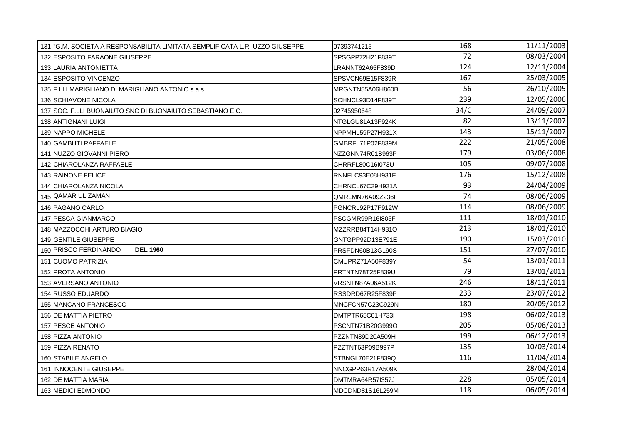| 131   "G.M. SOCIETA A RESPONSABILITA LIMITATA SEMPLIFICATA L.R. UZZO GIUSEPPE | 07393741215      | 168  | 11/11/2003 |
|-------------------------------------------------------------------------------|------------------|------|------------|
| 132 ESPOSITO FARAONE GIUSEPPE                                                 | SPSGPP72H21F839T | 72   | 08/03/2004 |
| 133 LAURIA ANTONIETTA                                                         | LRANNT62A65F839D | 124  | 12/11/2004 |
| 134 ESPOSITO VINCENZO                                                         | SPSVCN69E15F839R | 167  | 25/03/2005 |
| 135 F.LLI MARIGLIANO DI MARIGLIANO ANTONIO s.a.s.                             | MRGNTN55A06H860B | 56   | 26/10/2005 |
| 136 SCHIAVONE NICOLA                                                          | SCHNCL93D14F839T | 239  | 12/05/2006 |
| 137 SOC. F.LLI BUONAIUTO SNC DI BUONAIUTO SEBASTIANO E C.                     | 02745950648      | 34/C | 24/09/2007 |
| 138 ANTIGNANI LUIGI                                                           | NTGLGU81A13F924K | 82   | 13/11/2007 |
| 139 NAPPO MICHELE                                                             | NPPMHL59P27H931X | 143  | 15/11/2007 |
| 140 GAMBUTI RAFFAELE                                                          | GMBRFL71P02F839M | 222  | 21/05/2008 |
| 141 NUZZO GIOVANNI PIERO                                                      | NZZGNN74R01B963P | 179  | 03/06/2008 |
| 142 CHIAROLANZA RAFFAELE                                                      | CHRRFL80C16l073U | 105  | 09/07/2008 |
| 143 RAINONE FELICE                                                            | RNNFLC93E08H931F | 176  | 15/12/2008 |
| 144 CHIAROLANZA NICOLA                                                        | CHRNCL67C29H931A | 93   | 24/04/2009 |
| 145 QAMAR UL ZAMAN                                                            | QMRLMN76A09Z236F | 74   | 08/06/2009 |
| 146 PAGANO CARLO                                                              | PGNCRL92P17F912W | 114  | 08/06/2009 |
| 147 PESCA GIANMARCO                                                           | PSCGMR99R16I805F | 111  | 18/01/2010 |
| 148 MAZZOCCHI ARTURO BIAGIO                                                   | MZZRRB84T14H931O | 213  | 18/01/2010 |
| 149 GENTILE GIUSEPPE                                                          | GNTGPP92D13E791E | 190  | 15/03/2010 |
| 150 PRISCO FERDINANDO<br><b>DEL 1960</b>                                      | PRSFDN60B13G190S | 151  | 27/07/2010 |
| 151 CUOMO PATRIZIA                                                            | CMUPRZ71A50F839Y | 54   | 13/01/2011 |
| 152 PROTA ANTONIO                                                             | PRTNTN78T25F839U | 79   | 13/01/2011 |
| 153 AVERSANO ANTONIO                                                          | VRSNTN87A06A512K | 246  | 18/11/2011 |
| 154 RUSSO EDUARDO                                                             | RSSDRD67R25F839P | 233  | 23/07/2012 |
| 155 MANCANO FRANCESCO                                                         | MNCFCN57C23C929N | 180  | 20/09/2012 |
| 156 DE MATTIA PIETRO                                                          | DMTPTR65C01H733I | 198  | 06/02/2013 |
| 157 PESCE ANTONIO                                                             | PSCNTN71B20G999O | 205  | 05/08/2013 |
| 158 PIZZA ANTONIO                                                             | PZZNTN89D20A509H | 199  | 06/12/2013 |
| 159 PIZZA RENATO                                                              | PZZTNT63P09B997P | 135  | 10/03/2014 |
| 160 STABILE ANGELO                                                            | STBNGL70E21F839Q | 116  | 11/04/2014 |
| 161 INNOCENTE GIUSEPPE                                                        | NNCGPP63R17A509K |      | 28/04/2014 |
| 162 DE MATTIA MARIA                                                           | DMTMRA64R57I357J | 228  | 05/05/2014 |
| 163 MEDICI EDMONDO                                                            | MDCDND81S16L259M | 118  | 06/05/2014 |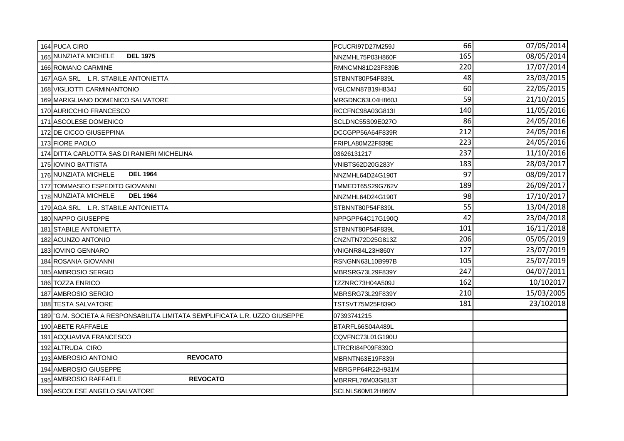| 164 PUCA CIRO                                                              | PCUCRI97D27M259J | 66  | 07/05/2014 |
|----------------------------------------------------------------------------|------------------|-----|------------|
| 165 NUNZIATA MICHELE<br><b>DEL 1975</b>                                    | NNZMHL75P03H860F | 165 | 08/05/2014 |
| 166 ROMANO CARMINE                                                         | RMNCMN81D23F839B | 220 | 17/07/2014 |
| 167 AGA SRL L.R. STABILE ANTONIETTA                                        | STBNNT80P54F839L | 48  | 23/03/2015 |
| 168 VIGLIOTTI CARMINANTONIO                                                | VGLCMN87B19H834J | 60  | 22/05/2015 |
| 169 MARIGLIANO DOMENICO SALVATORE                                          | MRGDNC63L04H860J | 59  | 21/10/2015 |
| 170 AURICCHIO FRANCESCO                                                    | RCCFNC98A03G813I | 140 | 11/05/2016 |
| 171 ASCOLESE DOMENICO                                                      | SCLDNC55S09E027O | 86  | 24/05/2016 |
| 172 DE CICCO GIUSEPPINA                                                    | DCCGPP56A64F839R | 212 | 24/05/2016 |
| 173 FIORE PAOLO                                                            | FRIPLA80M22F839E | 223 | 24/05/2016 |
| 174 DITTA CARLOTTA SAS DI RANIERI MICHELINA                                | 03626131217      | 237 | 11/10/2016 |
| 175 I IOVINO BATTISTA                                                      | VNIBTS62D20G283Y | 183 | 28/03/2017 |
| 176 NUNZIATA MICHELE<br><b>DEL 1964</b>                                    | NNZMHL64D24G190T | 97  | 08/09/2017 |
| 177 TOMMASEO ESPEDITO GIOVANNI                                             | TMMEDT65S29G762V | 189 | 26/09/2017 |
| 178 NUNZIATA MICHELE<br><b>DEL 1964</b>                                    | NNZMHL64D24G190T | 98  | 17/10/2017 |
| 179 AGA SRL L.R. STABILE ANTONIETTA                                        | STBNNT80P54F839L | 55  | 13/04/2018 |
| 180 NAPPO GIUSEPPE                                                         | NPPGPP64C17G190Q | 42  | 23/04/2018 |
| 181 STABILE ANTONIETTA                                                     | STBNNT80P54F839L | 101 | 16/11/2018 |
| 182 ACUNZO ANTONIO                                                         | CNZNTN72D25G813Z | 206 | 05/05/2019 |
| 183 IOVINO GENNARO                                                         | VNIGNR84L23H860Y | 127 | 23/07/2019 |
| 184 ROSANIA GIOVANNI                                                       | RSNGNN63L10B997B | 105 | 25/07/2019 |
| 185 AMBROSIO SERGIO                                                        | MBRSRG73L29F839Y | 247 | 04/07/2011 |
| 186 TOZZA ENRICO                                                           | TZZNRC73H04A509J | 162 | 10/102017  |
| 187 AMBROSIO SERGIO                                                        | MBRSRG73L29F839Y | 210 | 15/03/2005 |
| 188 TESTA SALVATORE                                                        | TSTSVT75M25F839O | 181 | 23/102018  |
| 189 G.M. SOCIETA A RESPONSABILITA LIMITATA SEMPLIFICATA L.R. UZZO GIUSEPPE | 07393741215      |     |            |
| 190 ABETE RAFFAELE                                                         | BTARFL66S04A489L |     |            |
| <b>ACQUAVIVA FRANCESCO</b><br>191                                          | CQVFNC73L01G190U |     |            |
| 192 ALTRUDA CIRO                                                           | LTRCRI84P09F839O |     |            |
| <b>REVOCATO</b><br>193 AMBROSIO ANTONIO                                    | MBRNTN63E19F839I |     |            |
| 194 AMBROSIO GIUSEPPE                                                      | MBRGPP64R22H931M |     |            |
| 195 AMBROSIO RAFFAELE<br><b>REVOCATO</b>                                   | MBRRFL76M03G813T |     |            |
| 196 ASCOLESE ANGELO SALVATORE                                              | SCLNLS60M12H860V |     |            |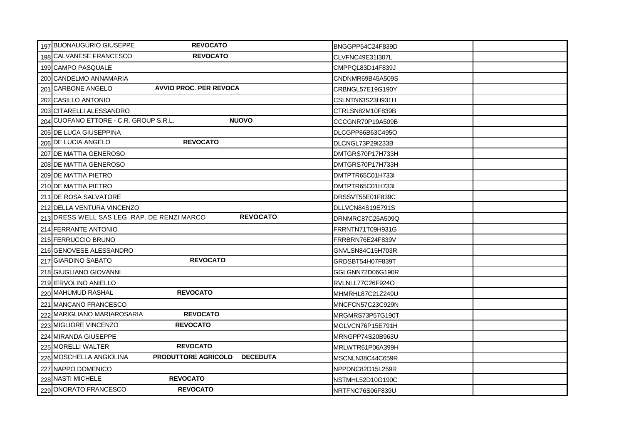| 197 BUONAUGURIO GIUSEPPE<br><b>REVOCATO</b>                              | BNGGPP54C24F839D |
|--------------------------------------------------------------------------|------------------|
| 198 CALVANESE FRANCESCO<br><b>REVOCATO</b>                               | CLVFNC49E31I307L |
| 199 CAMPO PASQUALE                                                       | CMPPQL83D14F839J |
| 200 CANDELMO ANNAMARIA                                                   | CNDNMR69B45A509S |
| <b>AVVIO PROC. PER REVOCA</b><br>201 CARBONE ANGELO                      | CRBNGL57E19G190Y |
| 202 CASILLO ANTONIO                                                      | CSLNTN63S23H931H |
| 203 CITARELLI ALESSANDRO                                                 | CTRLSN82M10F839B |
| 204 CUOFANO ETTORE - C.R. GROUP S.R.L.<br><b>NUOVO</b>                   | CCCGNR70P19A509B |
| 205 DE LUCA GIUSEPPINA                                                   | DLCGPP86B63C495O |
| <b>REVOCATO</b><br>206 DE LUCIA ANGELO                                   | DLCNGL73P29I233B |
| 207 DE MATTIA GENEROSO                                                   | DMTGRS70P17H733H |
| 208 DE MATTIA GENEROSO                                                   | DMTGRS70P17H733H |
| 209 DE MATTIA PIETRO                                                     | DMTPTR65C01H733I |
| 210 DE MATTIA PIETRO                                                     | DMTPTR65C01H733I |
| 211 DE ROSA SALVATORE                                                    | DRSSVT55E01F839C |
| 212 DELLA VENTURA VINCENZO                                               | DLLVCN84S19E791S |
| <b>REVOCATO</b><br>213 DRESS WELL SAS LEG. RAP. DE RENZI MARCO           | DRNMRC87C25A509Q |
| 214 FERRANTE ANTONIO                                                     | FRRNTN71T09H931G |
| 215 FERRUCCIO BRUNO                                                      | FRRBRN76E24F839V |
| 216 GENOVESE ALESSANDRO                                                  | GNVLSN84C15H703R |
| <b>REVOCATO</b><br>217 GIARDINO SABATO                                   | GRDSBT54H07F839T |
| 218 GIUGLIANO GIOVANNI                                                   | GGLGNN72D06G190R |
| 219 IERVOLINO ANIELLO                                                    | RVLNLL77C26F924O |
| <b>REVOCATO</b><br>220 MAHUMUD RASHAL                                    | MHMRHL87C21Z249U |
| 221 MANCANO FRANCESCO                                                    | MNCFCN57C23C929N |
| 222 MARIGLIANO MARIAROSARIA<br><b>REVOCATO</b>                           | MRGMRS73P57G190T |
| <b>REVOCATO</b><br>223 MIGLIORE VINCENZO                                 | MGLVCN76P15E791H |
| 224 MIRANDA GIUSEPPE                                                     | MRNGPP74S20B963U |
| <b>REVOCATO</b><br>225 MORELLI WALTER                                    | MRLWTR61P06A399H |
| 226 MOSCHELLA ANGIOLINA<br><b>PRODUTTORE AGRICOLO</b><br><b>DECEDUTA</b> | MSCNLN38C44C659R |
| 227 NAPPO DOMENICO                                                       | NPPDNC82D15L259R |
| <b>REVOCATO</b><br>228 NASTI MICHELE                                     | NSTMHL52D10G190C |
| 229 ONORATO FRANCESCO<br><b>REVOCATO</b>                                 | NRTFNC76S06F839U |